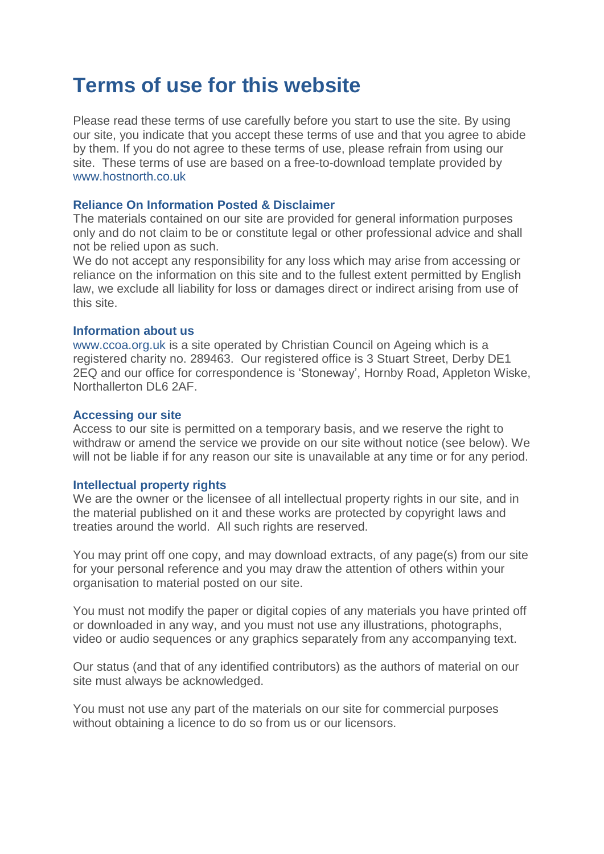# **Terms of use for this website**

Please read these terms of use carefully before you start to use the site. By using our site, you indicate that you accept these terms of use and that you agree to abide by them. If you do not agree to these terms of use, please refrain from using our site. These terms of use are based on a free-to-download template provided by [www.hostnorth.co.uk](http://www.hostnorth.co.uk/)

### **Reliance On Information Posted & Disclaimer**

The materials contained on our site are provided for general information purposes only and do not claim to be or constitute legal or other professional advice and shall not be relied upon as such.

We do not accept any responsibility for any loss which may arise from accessing or reliance on the information on this site and to the fullest extent permitted by English law, we exclude all liability for loss or damages direct or indirect arising from use of this site.

#### **Information about us**

[www.ccoa.org.uk](http://christiansonageing.org.uk.uk/) is a site operated by Christian Council on Ageing which is a registered charity no. 289463. Our registered office is 3 Stuart Street, Derby DE1 2EQ and our office for correspondence is 'Stoneway', Hornby Road, Appleton Wiske, Northallerton DL6 2AF.

#### **Accessing our site**

Access to our site is permitted on a temporary basis, and we reserve the right to withdraw or amend the service we provide on our site without notice (see below). We will not be liable if for any reason our site is unavailable at any time or for any period.

#### **Intellectual property rights**

We are the owner or the licensee of all intellectual property rights in our site, and in the material published on it and these works are protected by copyright laws and treaties around the world. All such rights are reserved.

You may print off one copy, and may download extracts, of any page(s) from our site for your personal reference and you may draw the attention of others within your organisation to material posted on our site.

You must not modify the paper or digital copies of any materials you have printed off or downloaded in any way, and you must not use any illustrations, photographs, video or audio sequences or any graphics separately from any accompanying text.

Our status (and that of any identified contributors) as the authors of material on our site must always be acknowledged.

You must not use any part of the materials on our site for commercial purposes without obtaining a licence to do so from us or our licensors.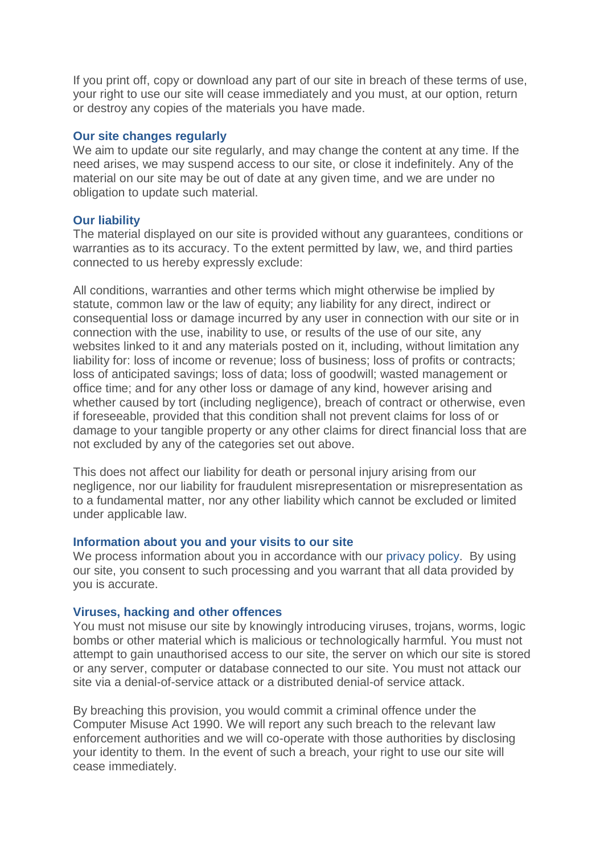If you print off, copy or download any part of our site in breach of these terms of use, your right to use our site will cease immediately and you must, at our option, return or destroy any copies of the materials you have made.

#### **Our site changes regularly**

We aim to update our site regularly, and may change the content at any time. If the need arises, we may suspend access to our site, or close it indefinitely. Any of the material on our site may be out of date at any given time, and we are under no obligation to update such material.

#### **Our liability**

The material displayed on our site is provided without any guarantees, conditions or warranties as to its accuracy. To the extent permitted by law, we, and third parties connected to us hereby expressly exclude:

All conditions, warranties and other terms which might otherwise be implied by statute, common law or the law of equity; any liability for any direct, indirect or consequential loss or damage incurred by any user in connection with our site or in connection with the use, inability to use, or results of the use of our site, any websites linked to it and any materials posted on it, including, without limitation any liability for: loss of income or revenue; loss of business; loss of profits or contracts; loss of anticipated savings; loss of data; loss of goodwill; wasted management or office time; and for any other loss or damage of any kind, however arising and whether caused by tort (including negligence), breach of contract or otherwise, even if foreseeable, provided that this condition shall not prevent claims for loss of or damage to your tangible property or any other claims for direct financial loss that are not excluded by any of the categories set out above.

This does not affect our liability for death or personal injury arising from our negligence, nor our liability for fraudulent misrepresentation or misrepresentation as to a fundamental matter, nor any other liability which cannot be excluded or limited under applicable law.

### **Information about you and your visits to our site**

We process information about you in accordance with our [privacy](http://christiansonageing.org.uk/privacy-policy/) policy. By using our site, you consent to such processing and you warrant that all data provided by you is accurate.

#### **Viruses, hacking and other offences**

You must not misuse our site by knowingly introducing viruses, trojans, worms, logic bombs or other material which is malicious or technologically harmful. You must not attempt to gain unauthorised access to our site, the server on which our site is stored or any server, computer or database connected to our site. You must not attack our site via a denial-of-service attack or a distributed denial-of service attack.

By breaching this provision, you would commit a criminal offence under the Computer Misuse Act 1990. We will report any such breach to the relevant law enforcement authorities and we will co-operate with those authorities by disclosing your identity to them. In the event of such a breach, your right to use our site will cease immediately.